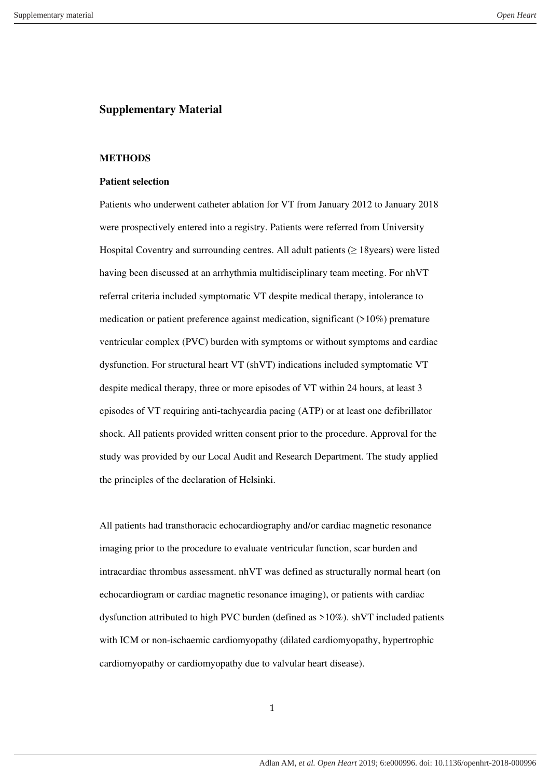# **Supplementary Material**

## **METHODS**

## **Patient selection**

Patients who underwent catheter ablation for VT from January 2012 to January 2018 were prospectively entered into a registry. Patients were referred from University Hospital Coventry and surrounding centres. All adult patients  $(≥ 18$ years) were listed having been discussed at an arrhythmia multidisciplinary team meeting. For nhVT referral criteria included symptomatic VT despite medical therapy, intolerance to medication or patient preference against medication, significant (>10%) premature ventricular complex (PVC) burden with symptoms or without symptoms and cardiac dysfunction. For structural heart VT (shVT) indications included symptomatic VT despite medical therapy, three or more episodes of VT within 24 hours, at least 3 episodes of VT requiring anti-tachycardia pacing (ATP) or at least one defibrillator shock. All patients provided written consent prior to the procedure. Approval for the study was provided by our Local Audit and Research Department. The study applied the principles of the declaration of Helsinki.

All patients had transthoracic echocardiography and/or cardiac magnetic resonance imaging prior to the procedure to evaluate ventricular function, scar burden and intracardiac thrombus assessment. nhVT was defined as structurally normal heart (on echocardiogram or cardiac magnetic resonance imaging), or patients with cardiac dysfunction attributed to high PVC burden (defined as >10%). shVT included patients with ICM or non-ischaemic cardiomyopathy (dilated cardiomyopathy, hypertrophic cardiomyopathy or cardiomyopathy due to valvular heart disease).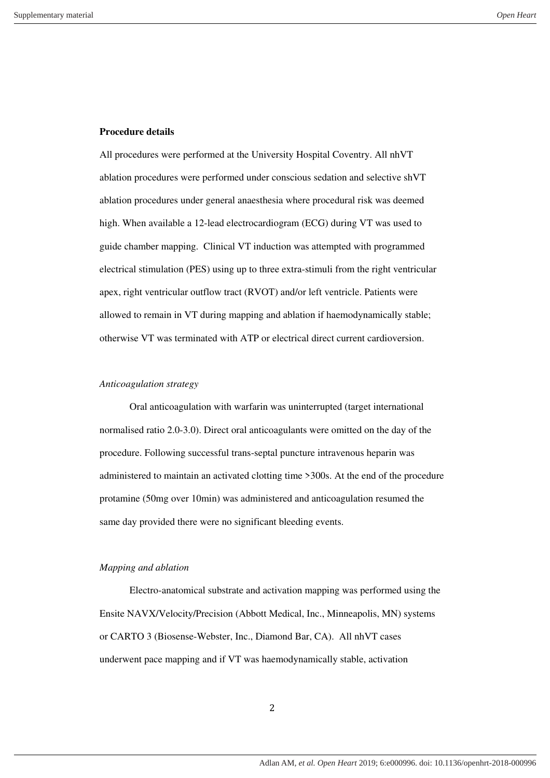### **Procedure details**

All procedures were performed at the University Hospital Coventry. All nhVT ablation procedures were performed under conscious sedation and selective shVT ablation procedures under general anaesthesia where procedural risk was deemed high. When available a 12-lead electrocardiogram (ECG) during VT was used to guide chamber mapping. Clinical VT induction was attempted with programmed electrical stimulation (PES) using up to three extra-stimuli from the right ventricular apex, right ventricular outflow tract (RVOT) and/or left ventricle. Patients were allowed to remain in VT during mapping and ablation if haemodynamically stable; otherwise VT was terminated with ATP or electrical direct current cardioversion.

#### *Anticoagulation strategy*

Oral anticoagulation with warfarin was uninterrupted (target international normalised ratio 2.0-3.0). Direct oral anticoagulants were omitted on the day of the procedure. Following successful trans-septal puncture intravenous heparin was administered to maintain an activated clotting time >300s. At the end of the procedure protamine (50mg over 10min) was administered and anticoagulation resumed the same day provided there were no significant bleeding events.

#### *Mapping and ablation*

Electro-anatomical substrate and activation mapping was performed using the Ensite NAVX/Velocity/Precision (Abbott Medical, Inc., Minneapolis, MN) systems or CARTO 3 (Biosense-Webster, Inc., Diamond Bar, CA). All nhVT cases underwent pace mapping and if VT was haemodynamically stable, activation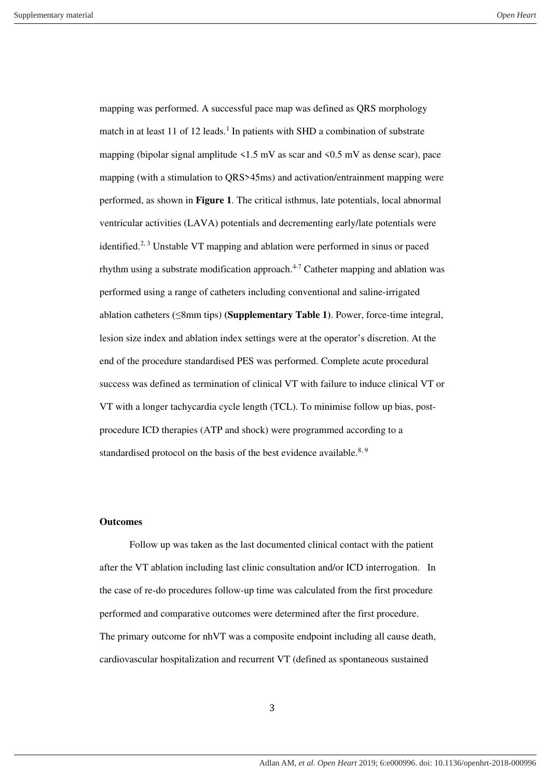mapping was performed. A successful pace map was defined as QRS morphology match in at least 11 of 12 leads.<sup>1</sup> In patients with SHD a combination of substrate mapping (bipolar signal amplitude  $\leq 1.5$  mV as scar and  $\leq 0.5$  mV as dense scar), pace mapping (with a stimulation to QRS>45ms) and activation/entrainment mapping were performed, as shown in **Figure 1**. The critical isthmus, late potentials, local abnormal ventricular activities (LAVA) potentials and decrementing early/late potentials were identified.<sup>2, 3</sup> Unstable VT mapping and ablation were performed in sinus or paced rhythm using a substrate modification approach.<sup> $4-7$ </sup> Catheter mapping and ablation was performed using a range of catheters including conventional and saline-irrigated ablation catheters (≤8mm tips) **(Supplementary Table 1)**. Power, force-time integral, lesion size index and ablation index settings were at the operator's discretion. At the end of the procedure standardised PES was performed. Complete acute procedural success was defined as termination of clinical VT with failure to induce clinical VT or VT with a longer tachycardia cycle length (TCL). To minimise follow up bias, postprocedure ICD therapies (ATP and shock) were programmed according to a standardised protocol on the basis of the best evidence available.<sup>8, 9</sup>

# **Outcomes**

 Follow up was taken as the last documented clinical contact with the patient after the VT ablation including last clinic consultation and/or ICD interrogation. In the case of re-do procedures follow-up time was calculated from the first procedure performed and comparative outcomes were determined after the first procedure. The primary outcome for nhVT was a composite endpoint including all cause death, cardiovascular hospitalization and recurrent VT (defined as spontaneous sustained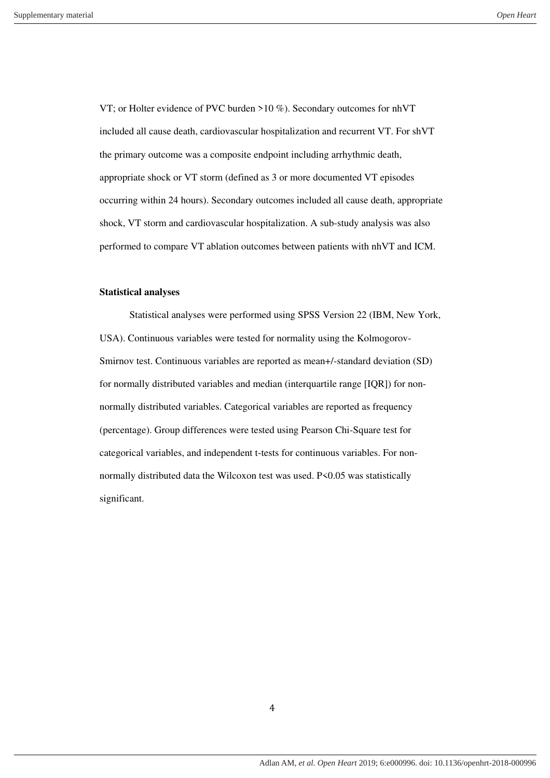VT; or Holter evidence of PVC burden >10 %). Secondary outcomes for nhVT included all cause death, cardiovascular hospitalization and recurrent VT. For shVT the primary outcome was a composite endpoint including arrhythmic death, appropriate shock or VT storm (defined as 3 or more documented VT episodes occurring within 24 hours). Secondary outcomes included all cause death, appropriate shock, VT storm and cardiovascular hospitalization. A sub-study analysis was also performed to compare VT ablation outcomes between patients with nhVT and ICM.

## **Statistical analyses**

 Statistical analyses were performed using SPSS Version 22 (IBM, New York, USA). Continuous variables were tested for normality using the Kolmogorov-Smirnov test. Continuous variables are reported as mean+/-standard deviation (SD) for normally distributed variables and median (interquartile range [IQR]) for nonnormally distributed variables. Categorical variables are reported as frequency (percentage). Group differences were tested using Pearson Chi-Square test for categorical variables, and independent t-tests for continuous variables. For nonnormally distributed data the Wilcoxon test was used. P<0.05 was statistically significant.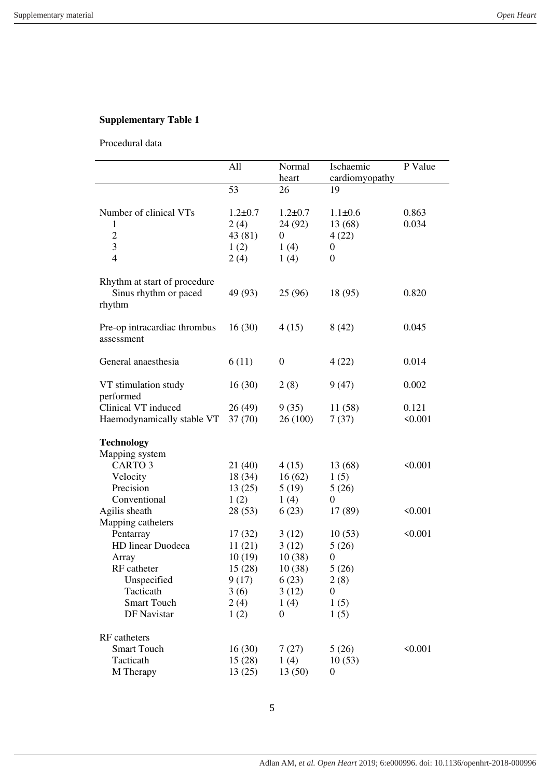# **Supplementary Table 1**

Procedural data

|                                                                 | All                                      | Normal<br>heart                                      | Ischaemic<br>cardiomyopathy                           | P Value          |
|-----------------------------------------------------------------|------------------------------------------|------------------------------------------------------|-------------------------------------------------------|------------------|
|                                                                 | 53                                       | 26                                                   | 19                                                    |                  |
| Number of clinical VTs<br>$\mathbf{1}$<br>$\overline{c}$<br>3   | $1.2 \pm 0.7$<br>2(4)<br>43 (81)<br>1(2) | $1.2 \pm 0.7$<br>24 (92)<br>$\boldsymbol{0}$<br>1(4) | $1.1 \pm 0.6$<br>13 (68)<br>4(22)<br>$\boldsymbol{0}$ | 0.863<br>0.034   |
| $\overline{4}$                                                  | 2(4)                                     | 1(4)                                                 | $\boldsymbol{0}$                                      |                  |
| Rhythm at start of procedure<br>Sinus rhythm or paced<br>rhythm | 49 (93)                                  | 25 (96)                                              | 18 (95)                                               | 0.820            |
| Pre-op intracardiac thrombus<br>assessment                      | 16(30)                                   | 4(15)                                                | 8(42)                                                 | 0.045            |
| General anaesthesia                                             | 6(11)                                    | $\boldsymbol{0}$                                     | 4(22)                                                 | 0.014            |
| VT stimulation study<br>performed                               | 16(30)                                   | 2(8)                                                 | 9(47)                                                 | 0.002            |
| Clinical VT induced<br>Haemodynamically stable VT               | 26(49)<br>37(70)                         | 9(35)<br>26 (100)                                    | 11(58)<br>7(37)                                       | 0.121<br>< 0.001 |
| <b>Technology</b>                                               |                                          |                                                      |                                                       |                  |
| Mapping system                                                  |                                          |                                                      |                                                       |                  |
| CARTO <sub>3</sub>                                              | 21 (40)                                  | 4(15)                                                | 13 (68)                                               | < 0.001          |
| Velocity                                                        | 18 (34)                                  | 16(62)                                               | 1(5)                                                  |                  |
| Precision                                                       | 13(25)                                   | 5(19)                                                | 5(26)                                                 |                  |
| Conventional                                                    | 1(2)                                     | 1(4)                                                 | $\boldsymbol{0}$                                      |                  |
| Agilis sheath                                                   | 28(53)                                   | 6(23)                                                | 17 (89)                                               | < 0.001          |
| Mapping catheters                                               |                                          |                                                      |                                                       |                  |
| Pentarray                                                       | 17(32)                                   | 3(12)                                                | 10(53)                                                | < 0.001          |
| HD linear Duodeca                                               | 11(21)                                   | 3(12)                                                | 5(26)                                                 |                  |
| Array                                                           | 10(19)                                   | 10(38)                                               | $\boldsymbol{0}$                                      |                  |
| RF catheter                                                     | 15(28)                                   | 10(38)                                               | 5(26)                                                 |                  |
| Unspecified                                                     | 9(17)                                    | 6(23)                                                | 2(8)                                                  |                  |
| Tacticath<br><b>Smart Touch</b>                                 | 3(6)                                     | 3(12)                                                | $\boldsymbol{0}$                                      |                  |
|                                                                 | 2(4)                                     | 1(4)                                                 | 1(5)                                                  |                  |
| DF Navistar                                                     | 1(2)                                     | 0                                                    | 1(5)                                                  |                  |
| RF catheters                                                    |                                          |                                                      |                                                       |                  |
| <b>Smart Touch</b>                                              | 16(30)                                   | 7(27)                                                | 5(26)                                                 | < 0.001          |
| Tacticath                                                       | 15(28)                                   | 1(4)                                                 | 10(53)                                                |                  |
| M Therapy                                                       | 13(25)                                   | 13(50)                                               | $\boldsymbol{0}$                                      |                  |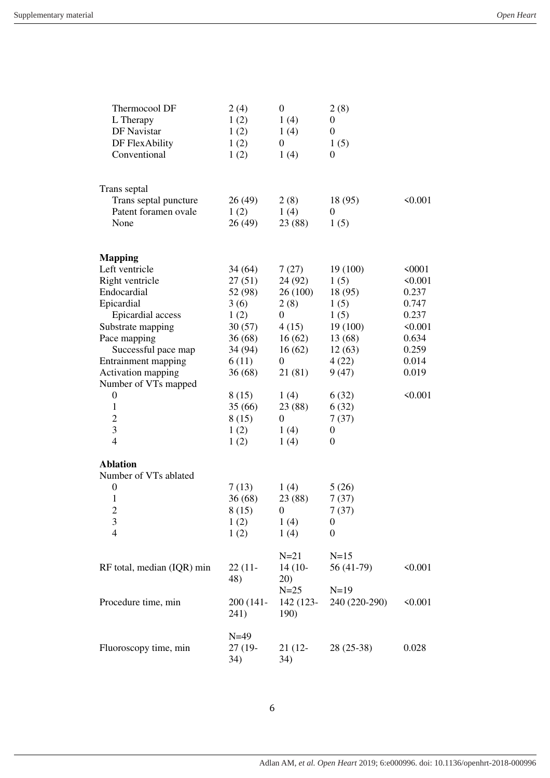| Thermocool DF              | 2(4)      | $\boldsymbol{0}$ | 2(8)             |              |
|----------------------------|-----------|------------------|------------------|--------------|
| L Therapy                  | 1(2)      | 1(4)             | $\boldsymbol{0}$ |              |
| DF Navistar                | 1(2)      | 1(4)             | $\boldsymbol{0}$ |              |
| DF FlexAbility             | 1(2)      | $\overline{0}$   | 1(5)             |              |
| Conventional               | 1(2)      | 1(4)             | $\boldsymbol{0}$ |              |
|                            |           |                  |                  |              |
| Trans septal               |           |                  |                  |              |
| Trans septal puncture      | 26 (49)   | 2(8)             | 18 (95)          | < 0.001      |
| Patent foramen ovale       | 1(2)      | 1(4)             | $\overline{0}$   |              |
| None                       | 26(49)    | 23 (88)          | 1(5)             |              |
|                            |           |                  |                  |              |
| <b>Mapping</b>             |           |                  |                  |              |
| Left ventricle             | 34(64)    | 7(27)            | 19(100)          | 50001        |
| Right ventricle            | 27(51)    | 24 (92)          | 1(5)             | $\leq 0.001$ |
| Endocardial                | 52 (98)   | 26 (100)         | 18 (95)          | 0.237        |
| Epicardial                 | 3(6)      | 2(8)             | 1(5)             | 0.747        |
| <b>Epicardial</b> access   | 1(2)      | 0                | 1(5)             | 0.237        |
| Substrate mapping          | 30(57)    | 4(15)            | 19(100)          | 50.001       |
| Pace mapping               | 36(68)    | 16(62)           | 13 (68)          | 0.634        |
| Successful pace map        | 34 (94)   | 16(62)           | 12(63)           | 0.259        |
| Entrainment mapping        | 6(11)     | 0                | 4(22)            | 0.014        |
| Activation mapping         | 36(68)    | 21 (81)          | 9(47)            | 0.019        |
| Number of VTs mapped       |           |                  |                  |              |
| $\boldsymbol{0}$           | 8(15)     | 1(4)             | 6(32)            | < 0.001      |
| $\mathbf{1}$               | 35(66)    | 23 (88)          | 6(32)            |              |
| $\overline{c}$             | 8(15)     | $\overline{0}$   | 7(37)            |              |
| 3                          | 1(2)      | 1(4)             | $\boldsymbol{0}$ |              |
| $\overline{4}$             | 1(2)      | 1(4)             | $\boldsymbol{0}$ |              |
| <b>Ablation</b>            |           |                  |                  |              |
| Number of VTs ablated      |           |                  |                  |              |
| $\boldsymbol{0}$           | 7(13)     | 1(4)             | 5(26)            |              |
| 1                          | 36(68)    | 23 (88)          | 7(37)            |              |
| $\overline{2}$             | 8(15)     | 0                | 7(37)            |              |
| 3                          | 1(2)      | 1(4)             | $\boldsymbol{0}$ |              |
| 4                          | 1(2)      | 1(4)             | $\boldsymbol{0}$ |              |
|                            |           | $N=21$           | $N=15$           |              |
| RF total, median (IQR) min | $22(11 -$ | $14(10-$         | 56 (41-79)       | < 0.001      |
|                            | 48)       | 20)              |                  |              |
|                            |           | $N=25$           | $N=19$           |              |
| Procedure time, min        | 200 (141- | 142 (123-        | 240 (220-290)    | $\leq 0.001$ |
|                            | 241)      | <b>190</b> )     |                  |              |
|                            | $N=49$    |                  |                  |              |
| Fluoroscopy time, min      | 27 (19-   | 21 (12-          | 28 (25-38)       | 0.028        |
|                            | 34)       | 34)              |                  |              |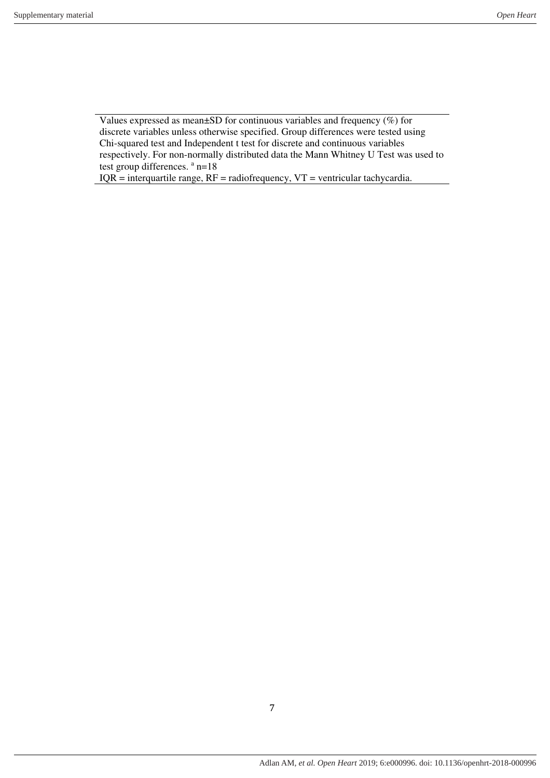Values expressed as mean±SD for continuous variables and frequency (%) for discrete variables unless otherwise specified. Group differences were tested using Chi-squared test and Independent t test for discrete and continuous variables respectively. For non-normally distributed data the Mann Whitney U Test was used to test group differences. <sup>a</sup> n=18

 $IQR =$  interquartile range,  $RF =$  radiofrequency,  $VT =$  ventricular tachycardia.